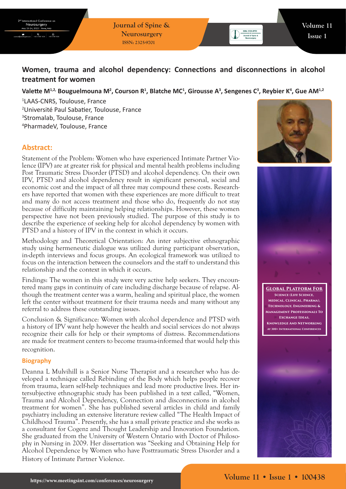**Journal of Spine & Neurosurgery ISSN: 2325-9701**

# **Women, trauma and alcohol dependency: Connections and disconnections in alcohol treatment for women**

## Valette M<sup>1,2,</sup> Bouguelmouna M<sup>2</sup>, Courson R<sup>1</sup>, Blatche MC<sup>1</sup>, Girousse A<sup>3</sup>, Sengenes C<sup>3</sup>, Reybier K<sup>4</sup>, Gue AM<sup>1,2</sup>

 LAAS-CNRS, Toulouse, France Université Paul Sabatier, Toulouse, France Stromalab, Toulouse, France PharmadeV, Toulouse, France

# **Abstract:**

Statement of the Problem: Women who have experienced Intimate Partner Violence (IPV) are at greater risk for physical and mental health problems including Post Traumatic Stress Disorder (PTSD) and alcohol dependency. On their own IPV, PTSD and alcohol dependency result in significant personal, social and economic cost and the impact of all three may compound these costs. Researchers have reported that women with these experiences are more difficult to treat and many do not access treatment and those who do, frequently do not stay because of difficulty maintaining helping relationships. However, these women perspective have not been previously studied. The purpose of this study is to describe the experience of seeking help for alcohol dependency by women with PTSD and a history of IPV in the context in which it occurs.

Methodology and Theoretical Orientation: An inter subjective ethnographic study using hermeneutic dialogue was utilized during participant observation, in-depth interviews and focus groups. An ecological framework was utilized to focus on the interaction between the counselors and the staff to understand this relationship and the context in which it occurs.

Findings: The women in this study were very active help seekers. They encountered many gaps in continuity of care including discharge because of relapse. Although the treatment center was a warm, healing and spiritual place, the women left the center without treatment for their trauma needs and many without any referral to address these outstanding issues.

Conclusion & Significance: Women with alcohol dependence and PTSD with a history of IPV want help however the health and social services do not always recognize their calls for help or their symptoms of distress. Recommendations are made for treatment centers to become trauma-informed that would help this recognition.

### **Biography**

Deanna L Mulvihill is a Senior Nurse Therapist and a researcher who has developed a technique called Rebinding of the Body which helps people recover from trauma, learn self-help techniques and lead more productive lives. Her intersubjective ethnographic study has been published in a text called, "Women, Trauma and Alcohol Dependency, Connection and disconnections in alcohol treatment for women". She has published several articles in child and family psychiatry including an extensive literature review called "The Health Impact of Childhood Trauma". Presently, she has a small private practice and she works as a consultant for Cogenz and Thought Leadership and Innovation Foundation. She graduated from the University of Western Ontario with Doctor of Philosophy in Nursing in 2009. Her dissertation was "Seeking and Obtaining Help for Alcohol Dependence by Women who have Posttraumatic Stress Disorder and a History of Intimate Partner Violence.





**Global Platform For Science (Life Science, Medical, Clinical, Pharma), Technology, Engineering & Management Professionals To Exchange Ideas, Knowledge And Networking At 300+ International Conferences**